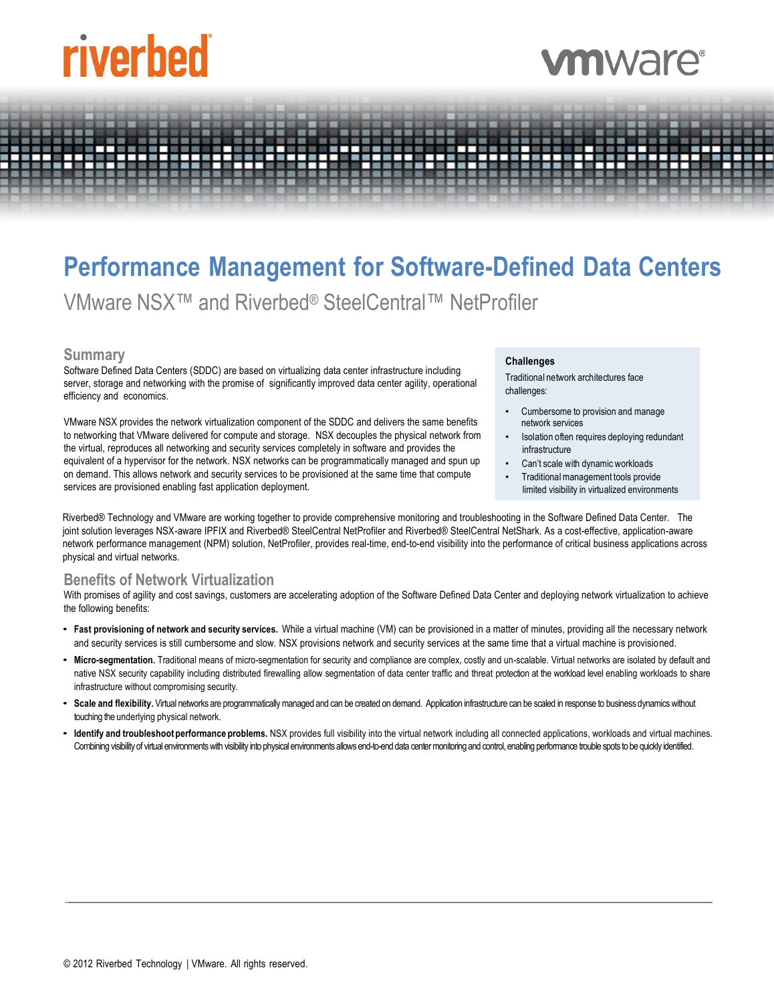# riverbed

## nware

### **Performance Management for Software-Defined Data Centers**

VMware NSX™ and Riverbed® SteelCentral™ NetProfiler

#### **Summary**

Software Defined Data Centers (SDDC) are based on virtualizing data center infrastructure including server, storage and networking with the promise of significantly improved data center agility, operational efficiency and economics.

VMware NSX provides the network virtualization component of the SDDC and delivers the same benefits to networking that VMware delivered for compute and storage. NSX decouples the physical network from the virtual, reproduces all networking and security services completely in software and provides the equivalent of a hypervisor for the network. NSX networks can be programmatically managed and spun up on demand. This allows network and security services to be provisioned at the same time that compute services are provisioned enabling fast application deployment.

#### **Challenges**

Traditional network architectures face challenges:

- Cumbersome to provision and manage network services
- Isolation often requires deploying redundant infrastructure
- Can't scale with dynamic workloads
- Traditional management tools provide limited visibility in virtualized environments

Riverbed® Technology and VMware are working together to provide comprehensive monitoring and troubleshooting in the Software Defined Data Center. The joint solution leverages NSX-aware IPFIX and Riverbed® SteelCentral NetProfiler and Riverbed® SteelCentral NetShark. As a cost-effective, application-aware network performance management (NPM) solution, NetProfiler, provides real-time, end-to-end visibility into the performance of critical business applications across physical and virtual networks.

#### **Benefits of Network Virtualization**

With promises of agility and cost savings, customers are accelerating adoption of the Software Defined Data Center and deploying network virtualization to achieve the following benefits:

- **Fast provisioning of network and security services.** While a virtual machine (VM) can be provisioned in a matter of minutes, providing all the necessary network and security services is still cumbersome and slow. NSX provisions network and security services at the same time that a virtual machine is provisioned.
- **Micro-segmentation.** Traditional means of micro-segmentation for security and compliance are complex, costly and un-scalable. Virtual networks are isolated by default and native NSX security capability including distributed firewalling allow segmentation of data center traffic and threat protection at the workload level enabling workloads to share infrastructure without compromising security.
- **Scale and flexibility.** Virtual networks are programmatically managed and can be created on demand. Application infrastructure can be scaled in response to business dynamics without touching the underlying physical network.
- **Identify and troubleshoot performance problems.** NSX provides full visibility into the virtual network including all connected applications, workloads and virtual machines. Combining visibility of virtual environments with visibility into physical environments allows end-to-end data center monitoring and control, enabling performance trouble spots to be quickly identified.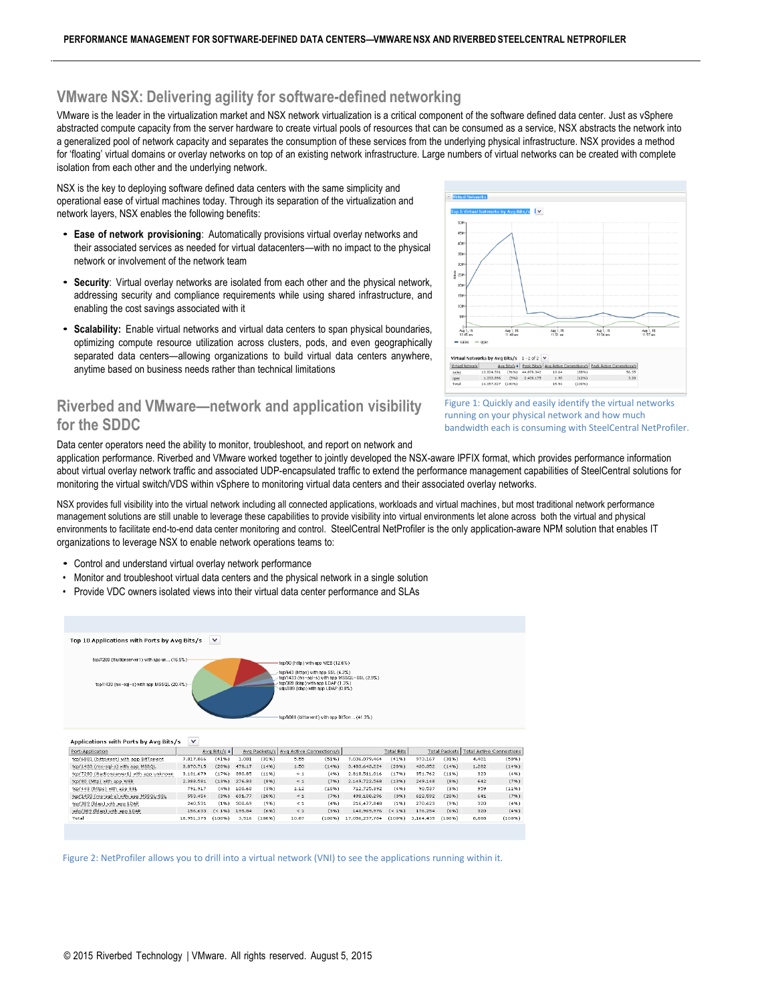#### **VMware NSX: Delivering agility for software-defined networking**

VMware is the leader in the virtualization market and NSX network virtualization is a critical component of the software defined data center. Just as vSphere abstracted compute capacity from the server hardware to create virtual pools of resources that can be consumed as a service, NSX abstracts the network into a generalized pool of network capacity and separates the consumption of these services from the underlying physical infrastructure. NSX provides a method for 'floating' virtual domains or overlay networks on top of an existing network infrastructure. Large numbers of virtual networks can be created with complete isolation from each other and the underlying network.

NSX is the key to deploying software defined data centers with the same simplicity and operational ease of virtual machines today. Through its separation of the virtualization and network layers, NSX enables the following benefits:

- **Ease of network provisioning**: Automatically provisions virtual overlay networks and their associated services as needed for virtual datacenters—with no impact to the physical network or involvement of the network team
- **Security**: Virtual overlay networks are isolated from each other and the physical network, addressing security and compliance requirements while using shared infrastructure, and enabling the cost savings associated with it
- **Scalability:** Enable virtual networks and virtual data centers to span physical boundaries, optimizing compute resource utilization across clusters, pods, and even geographically separated data centers—allowing organizations to build virtual data centers anywhere, anytime based on business needs rather than technical limitations

#### **Riverbed and VMware—network and application visibility for the SDDC**



Data center operators need the ability to monitor, troubleshoot, and report on network and

application performance. Riverbed and VMware worked together to jointly developed the NSX-aware IPFIX format, which provides performance information about virtual overlay network traffic and associated UDP-encapsulated traffic to extend the performance management capabilities of SteelCentral solutions for monitoring the virtual switch/VDS within vSphere to monitoring virtual data centers and their associated overlay networks.

NSX provides full visibility into the virtual network including all connected applications, workloads and virtual machines, but most traditional network performance management solutions are still unable to leverage these capabilities to provide visibility into virtual environments let alone across both the virtual and physical environments to facilitate end-to-end data center monitoring and control. SteelCentral NetProfiler is the only application-aware NPM solution that enables IT organizations to leverage NSX to enable network operations teams to:

- Control and understand virtual overlay network performance
- Monitor and troubleshoot virtual data centers and the physical network in a single solution
- Provide VDC owners isolated views into their virtual data center performance and SLAs



Figure 2: NetProfiler allows you to drill into a virtual network (VNI) to see the applications running within it.

Figure 1: Quickly and easily identify the virtual networks running on your physical network and how much bandwidth each is consuming with SteelCentral NetProfiler.